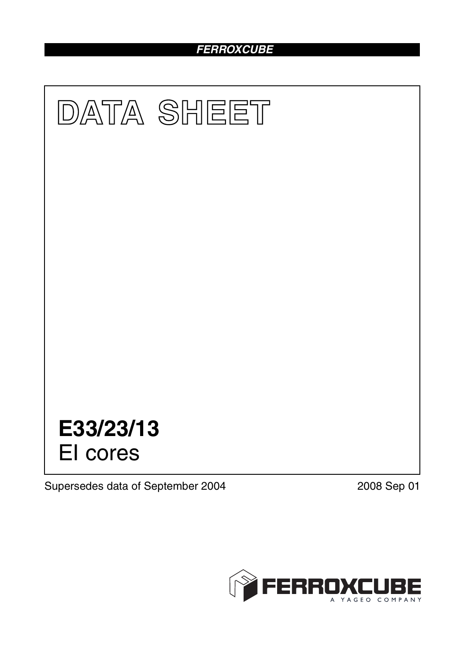# *FERROXCUBE*



Supersedes data of September 2004 2008 Sep 01

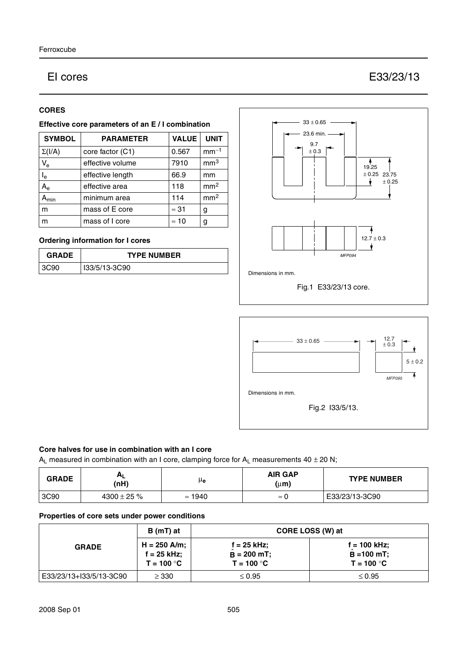## EI cores E33/23/13

#### **CORES**

#### **Effective core parameters of an E / I combination**

| <b>SYMBOL</b>           | <b>PARAMETER</b> | <b>VALUE</b> | <b>UNIT</b>     |
|-------------------------|------------------|--------------|-----------------|
| $\Sigma(I/A)$           | core factor (C1) | 0.567        | $mm-1$          |
| $V_{e}$                 | effective volume | 7910         | mm <sup>3</sup> |
| $\mathsf{I}_\mathsf{e}$ | effective length | 66.9         | mm              |
| $A_{\rm e}$             | effective area   | 118          | mm <sup>2</sup> |
| $A_{min}$               | minimum area     | 114          | mm <sup>2</sup> |
| m                       | mass of E core   | $\approx$ 31 | g               |
| m                       | mass of I core   | $\approx$ 10 | g               |

### **Ordering information for I cores**

| <b>GRADE</b> | <b>TYPE NUMBER</b> |
|--------------|--------------------|
| 390<br>- વલ્ | I33/5/13-3C90      |





#### **Core halves for use in combination with an I core**

A<sub>L</sub> measured in combination with an I core, clamping force for A<sub>L</sub> measurements  $40 \pm 20$  N;

| <b>GRADE</b> | Ηı<br>(nH)       | μe             | <b>AIR GAP</b><br>$(\mu m)$ | <b>TYPE NUMBER</b> |
|--------------|------------------|----------------|-----------------------------|--------------------|
| 3C90         | $4300 \pm 25 \%$ | $\approx$ 1940 | $\approx$                   | E33/23/13-3C90     |

### **Properties of core sets under power conditions**

| <b>GRADE</b>              | $B(mT)$ at                                    | CORE LOSS (W) at                                     |                                                       |  |
|---------------------------|-----------------------------------------------|------------------------------------------------------|-------------------------------------------------------|--|
|                           | $H = 250$ A/m;<br>f = 25 kHz;<br>$T = 100 °C$ | $f = 25$ kHz;<br>$\hat{B}$ = 200 mT;<br>$T = 100 °C$ | $f = 100$ kHz;<br>$\hat{B} = 100$ mT;<br>$T = 100 °C$ |  |
| l E33/23/13+I33/5/13-3C90 | $\geq$ 330                                    | $\leq 0.95$                                          | $\leq 0.95$                                           |  |